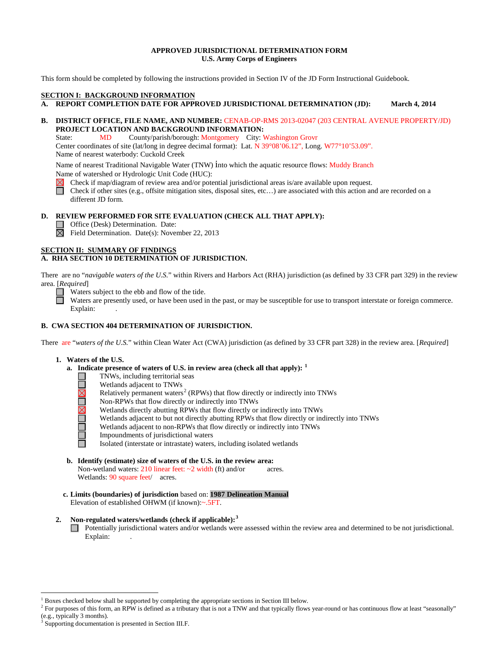### **APPROVED JURISDICTIONAL DETERMINATION FORM U.S. Army Corps of Engineers**

This form should be completed by following the instructions provided in Section IV of the JD Form Instructional Guidebook.

# **SECTION I: BACKGROUND INFORMATION**

**A. REPORT COMPLETION DATE FOR APPROVED JURISDICTIONAL DETERMINATION (JD): March 4, 2014** 

# **B. DISTRICT OFFICE, FILE NAME, AND NUMBER:** CENAB-OP-RMS 2013-02047 (203 CENTRAL AVENUE PROPERTY/JD)  **PROJECT LOCATION AND BACKGROUND INFORMATION:**

State: MD County/parish/borough: Montgomery City: Washington Grovr Center coordinates of site (lat/long in degree decimal format): Lat. N 39°08'06.12", Long. W77°10'53.09". Name of nearest waterbody: Cuckold Creek

Name of nearest Traditional Navigable Water (TNW) into which the aquatic resource flows: Muddy Branch Name of watershed or Hydrologic Unit Code (HUC):

Check if map/diagram of review area and/or potential jurisdictional areas is/are available upon request.

П Check if other sites (e.g., offsite mitigation sites, disposal sites, etc…) are associated with this action and are recorded on a different JD form.

# **D. REVIEW PERFORMED FOR SITE EVALUATION (CHECK ALL THAT APPLY):**

Office (Desk) Determination. Date:

 $\overline{\boxtimes}$  Field Determination. Date(s): November 22, 2013

### **SECTION II: SUMMARY OF FINDINGS**

# **A. RHA SECTION 10 DETERMINATION OF JURISDICTION.**

There are no "*navigable waters of the U.S.*" within Rivers and Harbors Act (RHA) jurisdiction (as defined by 33 CFR part 329) in the review area. [*Required*]

Waters subject to the ebb and flow of the tide.

Waters are presently used, or have been used in the past, or may be susceptible for use to transport interstate or foreign commerce. Explain:

# **B. CWA SECTION 404 DETERMINATION OF JURISDICTION.**

There are "*waters of the U.S.*" within Clean Water Act (CWA) jurisdiction (as defined by 33 CFR part 328) in the review area. [*Required*]

#### **1. Waters of the U.S.**

- **a. Indicate presence of waters of U.S. in review area (check all that apply): [1](#page-0-0)**
	- TNWs, including territorial seas
		- Wetlands adjacent to TNWs
	- Relatively permanent waters<sup>[2](#page-0-1)</sup> (RPWs) that flow directly or indirectly into TNWs
	- **UNADA DELL'IN** Non-RPWs that flow directly or indirectly into TNWs
		- Wetlands directly abutting RPWs that flow directly or indirectly into TNWs
		- Wetlands adjacent to but not directly abutting RPWs that flow directly or indirectly into TNWs
		- Wetlands adjacent to non-RPWs that flow directly or indirectly into TNWs
		- Impoundments of jurisdictional waters
		- Isolated (interstate or intrastate) waters, including isolated wetlands
- **b. Identify (estimate) size of waters of the U.S. in the review area:** Non-wetland waters:  $210$  linear feet:  $\sim$  2 width (ft) and/or acres. Wetlands: 90 square feet/ acres.
- **c. Limits (boundaries) of jurisdiction** based on: **1987 Delineation Manual** Elevation of established OHWM (if known):~.5FT.

### **2. Non-regulated waters/wetlands (check if applicable): [3](#page-0-2)**

Potentially jurisdictional waters and/or wetlands were assessed within the review area and determined to be not jurisdictional. Explain:

 <sup>1</sup> Boxes checked below shall be supported by completing the appropriate sections in Section III below.

<span id="page-0-1"></span><span id="page-0-0"></span><sup>&</sup>lt;sup>2</sup> For purposes of this form, an RPW is defined as a tributary that is not a TNW and that typically flows year-round or has continuous flow at least "seasonally" (e.g., typically 3 months).

<span id="page-0-2"></span>Supporting documentation is presented in Section III.F.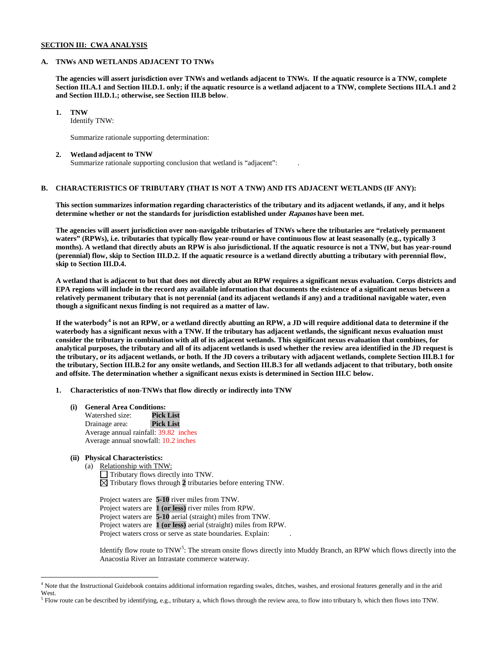### **SECTION III: CWA ANALYSIS**

### **A. TNWs AND WETLANDS ADJACENT TO TNWs**

**The agencies will assert jurisdiction over TNWs and wetlands adjacent to TNWs. If the aquatic resource is a TNW, complete Section III.A.1 and Section III.D.1. only; if the aquatic resource is a wetland adjacent to a TNW, complete Sections III.A.1 and 2 and Section III.D.1.; otherwise, see Section III.B below**.

**1. TNW** 

Identify TNW:

Summarize rationale supporting determination:

#### **2. Wetland adjacent to TNW**

Summarize rationale supporting conclusion that wetland is "adjacent": .

# **B. CHARACTERISTICS OF TRIBUTARY (THAT IS NOT A TNW) AND ITS ADJACENT WETLANDS (IF ANY):**

**This section summarizes information regarding characteristics of the tributary and its adjacent wetlands, if any, and it helps determine whether or not the standards for jurisdiction established under Rapanos have been met.** 

**The agencies will assert jurisdiction over non-navigable tributaries of TNWs where the tributaries are "relatively permanent waters" (RPWs), i.e. tributaries that typically flow year-round or have continuous flow at least seasonally (e.g., typically 3 months). A wetland that directly abuts an RPW is also jurisdictional. If the aquatic resource is not a TNW, but has year-round (perennial) flow, skip to Section III.D.2. If the aquatic resource is a wetland directly abutting a tributary with perennial flow, skip to Section III.D.4.**

**A wetland that is adjacent to but that does not directly abut an RPW requires a significant nexus evaluation. Corps districts and EPA regions will include in the record any available information that documents the existence of a significant nexus between a relatively permanent tributary that is not perennial (and its adjacent wetlands if any) and a traditional navigable water, even though a significant nexus finding is not required as a matter of law.**

**If the waterbody[4](#page-1-0) is not an RPW, or a wetland directly abutting an RPW, a JD will require additional data to determine if the waterbody has a significant nexus with a TNW. If the tributary has adjacent wetlands, the significant nexus evaluation must consider the tributary in combination with all of its adjacent wetlands. This significant nexus evaluation that combines, for analytical purposes, the tributary and all of its adjacent wetlands is used whether the review area identified in the JD request is the tributary, or its adjacent wetlands, or both. If the JD covers a tributary with adjacent wetlands, complete Section III.B.1 for the tributary, Section III.B.2 for any onsite wetlands, and Section III.B.3 for all wetlands adjacent to that tributary, both onsite and offsite. The determination whether a significant nexus exists is determined in Section III.C below.**

**1. Characteristics of non-TNWs that flow directly or indirectly into TNW**

- **(i) General Area Conditions:**
	- Watershed size: Drainage area: **Pick List** Average annual rainfall: 39.82 inches Average annual snowfall: 10.2 inches

# **(ii) Physical Characteristics:**

(a) Relationship with TNW: Tributary flows directly into TNW.  $\boxtimes$  Tributary flows through 2 tributaries before entering TNW.

Project waters are **5-10** river miles from TNW. Project waters are **1 (or less)** river miles from RPW. Project waters are **5-10** aerial (straight) miles from TNW. Project waters are **1 (or less)** aerial (straight) miles from RPW. Project waters cross or serve as state boundaries. Explain:

Identify flow route to TNW<sup>[5](#page-1-1)</sup>: The stream onsite flows directly into Muddy Branch, an RPW which flows directly into the Anacostia River an Intrastate commerce waterway.

<span id="page-1-0"></span> <sup>4</sup> Note that the Instructional Guidebook contains additional information regarding swales, ditches, washes, and erosional features generally and in the arid West.

<span id="page-1-1"></span> $<sup>5</sup>$  Flow route can be described by identifying, e.g., tributary a, which flows through the review area, to flow into tributary b, which then flows into TNW.</sup>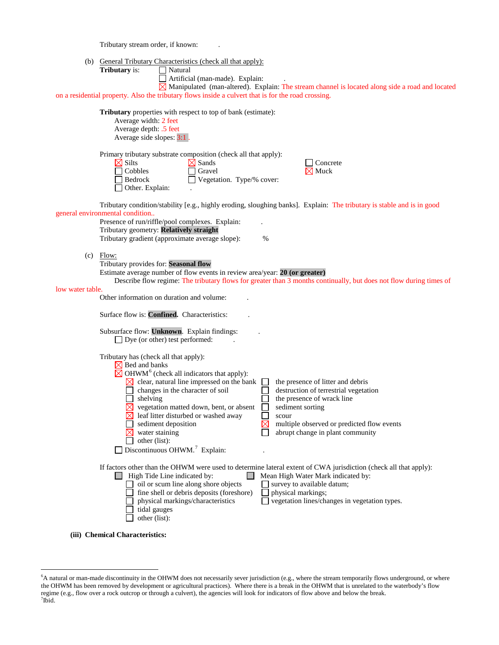Tributary stream order, if known: .

**(iii) Chemical Characteristics:**

(b) General Tributary Characteristics (check all that apply):

| (b)              | General Tributary Characteristics (check all that apply):<br><b>Tributary</b> is:<br>$\Box$ Natural<br>Artificial (man-made). Explain:<br>$\boxtimes$ Manipulated (man-altered). Explain: The stream channel is located along side a road and located<br>on a residential property. Also the tributary flows inside a culvert that is for the road crossing.                                                                                                                                                                                                                                                                                                                                                                                                           |
|------------------|------------------------------------------------------------------------------------------------------------------------------------------------------------------------------------------------------------------------------------------------------------------------------------------------------------------------------------------------------------------------------------------------------------------------------------------------------------------------------------------------------------------------------------------------------------------------------------------------------------------------------------------------------------------------------------------------------------------------------------------------------------------------|
|                  | <b>Tributary</b> properties with respect to top of bank (estimate):<br>Average width: 2 feet<br>Average depth: .5 feet<br>Average side slopes: 3:1.                                                                                                                                                                                                                                                                                                                                                                                                                                                                                                                                                                                                                    |
|                  | Primary tributary substrate composition (check all that apply):<br>$\boxtimes$ Silts<br>$\boxtimes$ Sands<br>$\Box$ Concrete<br>$\Box$ Cobbles<br>$\Box$ Gravel<br>$\boxtimes$ Muck<br>Bedrock<br>Vegetation. Type/% cover:<br>Other. Explain:                                                                                                                                                                                                                                                                                                                                                                                                                                                                                                                         |
|                  | Tributary condition/stability [e.g., highly eroding, sloughing banks]. Explain: The tributary is stable and is in good<br>general environmental condition<br>Presence of run/riffle/pool complexes. Explain:<br>Tributary geometry: Relatively straight<br>Tributary gradient (approximate average slope):<br>$\%$                                                                                                                                                                                                                                                                                                                                                                                                                                                     |
| (c)              | Flow:<br>Tributary provides for: Seasonal flow<br>Estimate average number of flow events in review area/year: 20 (or greater)<br>Describe flow regime: The tributary flows for greater than 3 months continually, but does not flow during times of                                                                                                                                                                                                                                                                                                                                                                                                                                                                                                                    |
| low water table. | Other information on duration and volume:<br>Surface flow is: Confined. Characteristics:<br>Subsurface flow: Unknown. Explain findings:                                                                                                                                                                                                                                                                                                                                                                                                                                                                                                                                                                                                                                |
|                  | $\Box$ Dye (or other) test performed:<br>Tributary has (check all that apply):<br>$\times$ Bed and banks<br>$\boxtimes$ OHWM <sup>6</sup> (check all indicators that apply):<br>$\boxtimes$ clear, natural line impressed on the bank<br>the presence of litter and debris<br>$\mathsf{L}$<br>changes in the character of soil<br>destruction of terrestrial vegetation<br>shelving<br>the presence of wrack line<br>$\times$ vegetation matted down, bent, or absent<br>sediment sorting<br>$\boxtimes$ leaf litter disturbed or washed away<br>×.<br>scour<br>⋉<br>multiple observed or predicted flow events<br>sediment deposition<br>$\boxtimes$ water staining<br>abrupt change in plant community<br>other (list):<br>Discontinuous OHWM. <sup>7</sup> Explain: |
|                  | If factors other than the OHWM were used to determine lateral extent of CWA jurisdiction (check all that apply):<br>High Tide Line indicated by:<br>Mean High Water Mark indicated by:<br>$\Box$ oil or scum line along shore objects<br>$\Box$ survey to available datum;<br>fine shell or debris deposits (foreshore)<br>physical markings;<br>vegetation lines/changes in vegetation types.<br>physical markings/characteristics<br>tidal gauges<br>other (list):                                                                                                                                                                                                                                                                                                   |

<span id="page-2-1"></span><span id="page-2-0"></span> <sup>6</sup> A natural or man-made discontinuity in the OHWM does not necessarily sever jurisdiction (e.g., where the stream temporarily flows underground, or where the OHWM has been removed by development or agricultural practices). Where there is a break in the OHWM that is unrelated to the waterbody's flow regime (e.g., flow over a rock outcrop or through a culvert), the agencies will look for indicators of flow above and below the break. <sup>7</sup>  $7$ Ibid.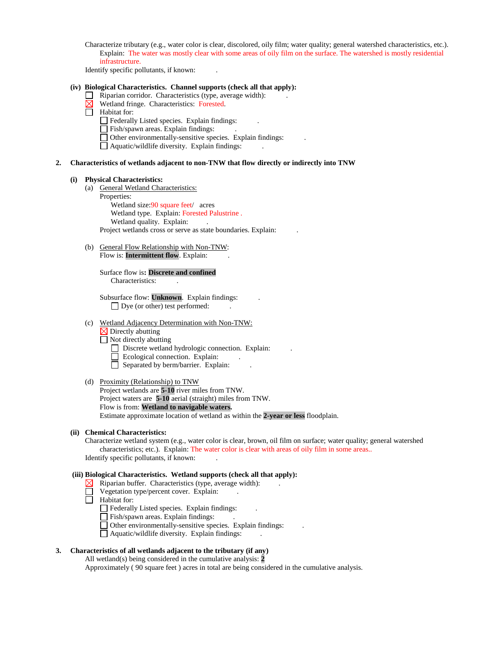Characterize tributary (e.g., water color is clear, discolored, oily film; water quality; general watershed characteristics, etc.). Explain: The water was mostly clear with some areas of oily film on the surface. The watershed is mostly residential infrastructure.

Identify specific pollutants, if known: .

#### **(iv) Biological Characteristics. Channel supports (check all that apply):**

- $\Box$  Riparian corridor. Characteristics (type, average width):
- $\boxtimes$  Wetland fringe. Characteristics: Forested.
- Habitat for:
	- $\Box$  Federally Listed species. Explain findings:
	- $\Box$  Fish/spawn areas. Explain findings:
	- $\Box$  Other environmentally-sensitive species. Explain findings:
	- $\Box$  Aquatic/wildlife diversity. Explain findings:

#### **2. Characteristics of wetlands adjacent to non-TNW that flow directly or indirectly into TNW**

#### **(i) Physical Characteristics:**

- (a) General Wetland Characteristics:
	- Properties: Wetland size:90 square feet/ acres Wetland type. Explain: Forested Palustrine .

Wetland quality. Explain:

Project wetlands cross or serve as state boundaries. Explain: .

(b) General Flow Relationship with Non-TNW: Flow is: **Intermittent flow**. Explain:

> Surface flow is**: Discrete and confined**  Characteristics: .

Subsurface flow: **Unknown**. Explain findings: . Dye (or other) test performed:

### (c) Wetland Adjacency Determination with Non-TNW:

 $\overline{\triangle}$  Directly abutting

 $\Box$  Not directly abutting

Discrete wetland hydrologic connection. Explain:

- Ecological connection. Explain:
- Separated by berm/barrier. Explain:

#### (d) Proximity (Relationship) to TNW

Project wetlands are **5-10** river miles from TNW. Project waters are **5-10** aerial (straight) miles from TNW. Flow is from: **Wetland to navigable waters.** Estimate approximate location of wetland as within the **2-year or less** floodplain.

#### **(ii) Chemical Characteristics:**

Characterize wetland system (e.g., water color is clear, brown, oil film on surface; water quality; general watershed characteristics; etc.). Explain: The water color is clear with areas of oily film in some areas.. Identify specific pollutants, if known: .

### **(iii) Biological Characteristics. Wetland supports (check all that apply):**

- $\boxtimes$  Riparian buffer. Characteristics (type, average width):
- Vegetation type/percent cover. Explain:
- $\Box$  Habitat for:
	- Federally Listed species. Explain findings: .
	- Fish/spawn areas. Explain findings:
	- $\Box$  Other environmentally-sensitive species. Explain findings:
	- Aquatic/wildlife diversity. Explain findings: .

### **3. Characteristics of all wetlands adjacent to the tributary (if any)**

All wetland(s) being considered in the cumulative analysis: **2** Approximately ( 90 square feet ) acres in total are being considered in the cumulative analysis.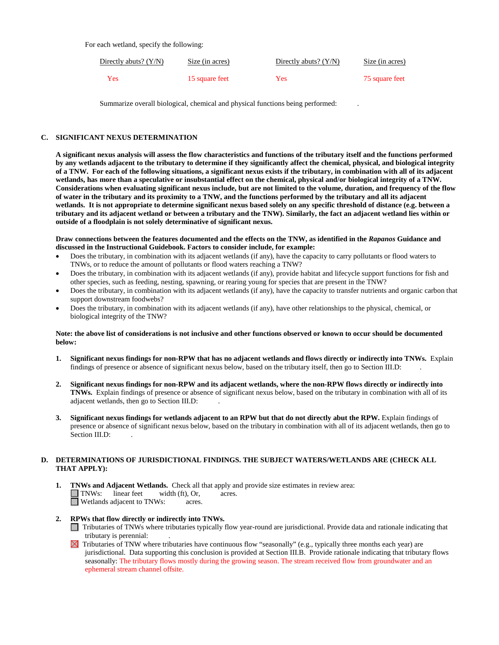For each wetland, specify the following:

| Directly abuts? $(Y/N)$ | Size (in acres) | Directly abuts? $(Y/N)$ | Size (in acres) |
|-------------------------|-----------------|-------------------------|-----------------|
| Yes                     | 15 square feet  | Yes                     | 75 square feet  |

Summarize overall biological, chemical and physical functions being performed: .

### **C. SIGNIFICANT NEXUS DETERMINATION**

**A significant nexus analysis will assess the flow characteristics and functions of the tributary itself and the functions performed by any wetlands adjacent to the tributary to determine if they significantly affect the chemical, physical, and biological integrity of a TNW. For each of the following situations, a significant nexus exists if the tributary, in combination with all of its adjacent wetlands, has more than a speculative or insubstantial effect on the chemical, physical and/or biological integrity of a TNW. Considerations when evaluating significant nexus include, but are not limited to the volume, duration, and frequency of the flow of water in the tributary and its proximity to a TNW, and the functions performed by the tributary and all its adjacent wetlands. It is not appropriate to determine significant nexus based solely on any specific threshold of distance (e.g. between a tributary and its adjacent wetland or between a tributary and the TNW). Similarly, the fact an adjacent wetland lies within or outside of a floodplain is not solely determinative of significant nexus.** 

**Draw connections between the features documented and the effects on the TNW, as identified in the** *Rapanos* **Guidance and discussed in the Instructional Guidebook. Factors to consider include, for example:**

- Does the tributary, in combination with its adjacent wetlands (if any), have the capacity to carry pollutants or flood waters to TNWs, or to reduce the amount of pollutants or flood waters reaching a TNW?
- Does the tributary, in combination with its adjacent wetlands (if any), provide habitat and lifecycle support functions for fish and other species, such as feeding, nesting, spawning, or rearing young for species that are present in the TNW?
- Does the tributary, in combination with its adjacent wetlands (if any), have the capacity to transfer nutrients and organic carbon that support downstream foodwebs?
- Does the tributary, in combination with its adjacent wetlands (if any), have other relationships to the physical, chemical, or biological integrity of the TNW?

### **Note: the above list of considerations is not inclusive and other functions observed or known to occur should be documented below:**

- **1. Significant nexus findings for non-RPW that has no adjacent wetlands and flows directly or indirectly into TNWs.** Explain findings of presence or absence of significant nexus below, based on the tributary itself, then go to Section III.D: .
- **2. Significant nexus findings for non-RPW and its adjacent wetlands, where the non-RPW flows directly or indirectly into TNWs.** Explain findings of presence or absence of significant nexus below, based on the tributary in combination with all of its adjacent wetlands, then go to Section III.D: .
- **3. Significant nexus findings for wetlands adjacent to an RPW but that do not directly abut the RPW.** Explain findings of presence or absence of significant nexus below, based on the tributary in combination with all of its adjacent wetlands, then go to Section III.D:

### **D. DETERMINATIONS OF JURISDICTIONAL FINDINGS. THE SUBJECT WATERS/WETLANDS ARE (CHECK ALL THAT APPLY):**

- **1. TNWs and Adjacent Wetlands.** Check all that apply and provide size estimates in review area: TNWs: linear feet width (ft), Or, acres. TNWs: linear feet width (ft), Or, acres. Wetlands adjacent to TNWs: acres.
- **2. RPWs that flow directly or indirectly into TNWs.**
	- Tributaries of TNWs where tributaries typically flow year-round are jurisdictional. Provide data and rationale indicating that tributary is perennial: .
	- $\Xi$  Tributaries of TNW where tributaries have continuous flow "seasonally" (e.g., typically three months each year) are jurisdictional. Data supporting this conclusion is provided at Section III.B. Provide rationale indicating that tributary flows seasonally: The tributary flows mostly during the growing season. The stream received flow from groundwater and an ephemeral stream channel offsite.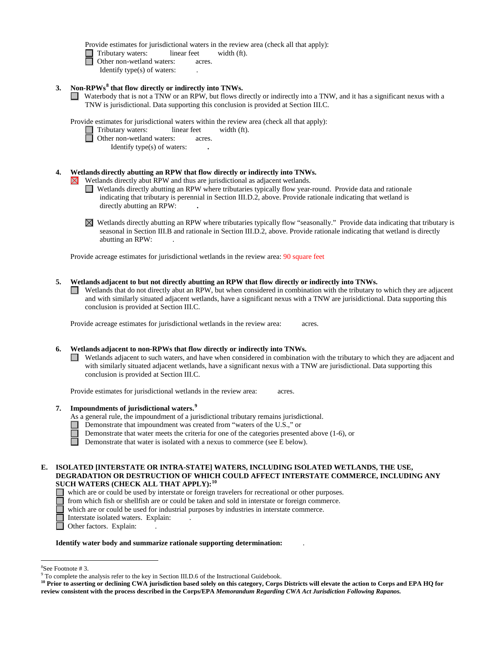Provide estimates for jurisdictional waters in the review area (check all that apply):

Tributary waters: linear feet width (ft).

- **d** Other non-wetland waters: acres.
	- Identify type(s) of waters: .
- **3. Non-RPWs[8](#page-5-0) that flow directly or indirectly into TNWs.**
	- Waterbody that is not a TNW or an RPW, but flows directly or indirectly into a TNW, and it has a significant nexus with a TNW is jurisdictional. Data supporting this conclusion is provided at Section III.C.

Provide estimates for jurisdictional waters within the review area (check all that apply):

- □ Tributary waters: linear feet width (ft).
- **D** Other non-wetland waters: acres.
	- Identify type(s) of waters: **.**

# **4. Wetlands directly abutting an RPW that flow directly or indirectly into TNWs.**

Wetlands directly abut RPW and thus are jurisdictional as adjacent wetlands.  $\bowtie$ 

- Wetlands directly abutting an RPW where tributaries typically flow year-round. Provide data and rationale indicating that tributary is perennial in Section III.D.2, above. Provide rationale indicating that wetland is directly abutting an RPW: **.**
- $\boxtimes$ Wetlands directly abutting an RPW where tributaries typically flow "seasonally." Provide data indicating that tributary is seasonal in Section III.B and rationale in Section III.D.2, above. Provide rationale indicating that wetland is directly abutting an RPW: .

Provide acreage estimates for jurisdictional wetlands in the review area: 90 square feet

### **5. Wetlands adjacent to but not directly abutting an RPW that flow directly or indirectly into TNWs.**

 $\Box$  Wetlands that do not directly abut an RPW, but when considered in combination with the tributary to which they are adjacent and with similarly situated adjacent wetlands, have a significant nexus with a TNW are jurisidictional. Data supporting this conclusion is provided at Section III.C.

Provide acreage estimates for jurisdictional wetlands in the review area: acres.

# **6. Wetlands adjacent to non-RPWs that flow directly or indirectly into TNWs.**

 $\Box$  Wetlands adjacent to such waters, and have when considered in combination with the tributary to which they are adjacent and with similarly situated adjacent wetlands, have a significant nexus with a TNW are jurisdictional. Data supporting this conclusion is provided at Section III.C.

Provide estimates for jurisdictional wetlands in the review area: acres.

- **7. Impoundments of jurisdictional waters. [9](#page-5-1)**
	- As a general rule, the impoundment of a jurisdictional tributary remains jurisdictional.
		- Demonstrate that impoundment was created from "waters of the U.S.," or
		- Demonstrate that water meets the criteria for one of the categories presented above (1-6), or
	- $\Box$ Demonstrate that water is isolated with a nexus to commerce (see E below).

#### **E. ISOLATED [INTERSTATE OR INTRA-STATE] WATERS, INCLUDING ISOLATED WETLANDS, THE USE, DEGRADATION OR DESTRUCTION OF WHICH COULD AFFECT INTERSTATE COMMERCE, INCLUDING ANY SUCH WATERS (CHECK ALL THAT APPLY):[10](#page-5-2)** □

- which are or could be used by interstate or foreign travelers for recreational or other purposes.
- from which fish or shellfish are or could be taken and sold in interstate or foreign commerce.
- which are or could be used for industrial purposes by industries in interstate commerce.
- Interstate isolated waters.Explain: .
- □ Other factors. Explain:

#### **Identify water body and summarize rationale supporting determination:** .

 <sup>8</sup>

<span id="page-5-0"></span> ${}^{8}$ See Footnote # 3.<br>9 To complete the analysis refer to the key in Section III.D.6 of the Instructional Guidebook.

<span id="page-5-2"></span><span id="page-5-1"></span>**<sup>10</sup> Prior to asserting or declining CWA jurisdiction based solely on this category, Corps Districts will elevate the action to Corps and EPA HQ for review consistent with the process described in the Corps/EPA** *Memorandum Regarding CWA Act Jurisdiction Following Rapanos.*